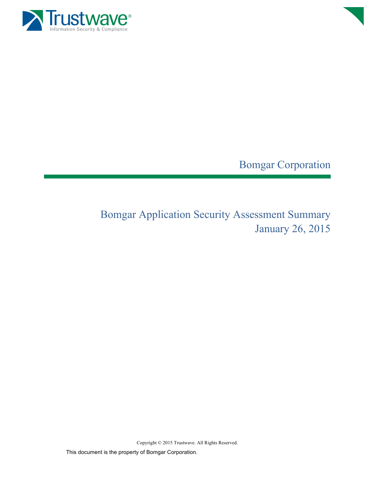



Bomgar Corporation

Bomgar Application Security Assessment Summary January 26, 2015

Copyright © 2015 Trustwave. All Rights Reserved.

This document is the property of Bomgar Corporation.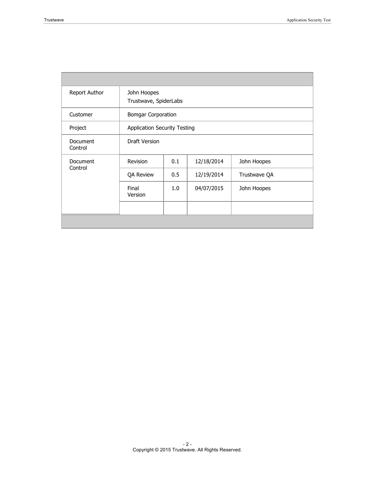п

| Report Author       | John Hoopes<br>Trustwave, SpiderLabs |     |            |              |  |
|---------------------|--------------------------------------|-----|------------|--------------|--|
| Customer            | <b>Bomgar Corporation</b>            |     |            |              |  |
| Project             | <b>Application Security Testing</b>  |     |            |              |  |
| Document<br>Control | Draft Version                        |     |            |              |  |
| Document<br>Control | Revision                             | 0.1 | 12/18/2014 | John Hoopes  |  |
|                     | <b>QA Review</b>                     | 0.5 | 12/19/2014 | Trustwave QA |  |
|                     | Final<br>Version                     | 1.0 | 04/07/2015 | John Hoopes  |  |
|                     |                                      |     |            |              |  |
|                     |                                      |     |            |              |  |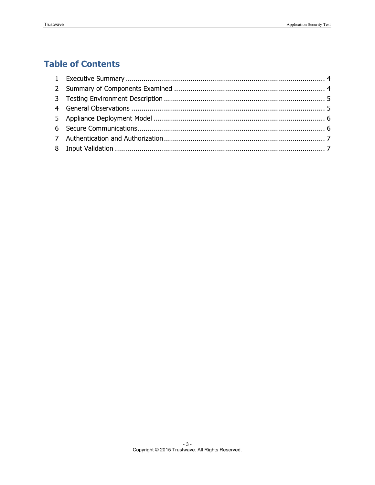# **Table of Contents**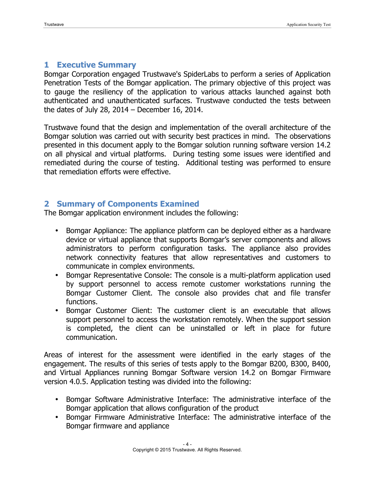#### **1 Executive Summary**

Bomgar Corporation engaged Trustwave's SpiderLabs to perform a series of Application Penetration Tests of the Bomgar application. The primary objective of this project was to gauge the resiliency of the application to various attacks launched against both authenticated and unauthenticated surfaces. Trustwave conducted the tests between the dates of July 28, 2014 – December 16, 2014.

Trustwave found that the design and implementation of the overall architecture of the Bomgar solution was carried out with security best practices in mind. The observations presented in this document apply to the Bomgar solution running software version 14.2 on all physical and virtual platforms. During testing some issues were identified and remediated during the course of testing. Additional testing was performed to ensure that remediation efforts were effective.

#### **2 Summary of Components Examined**

The Bomgar application environment includes the following:

- Bomgar Appliance: The appliance platform can be deployed either as a hardware device or virtual appliance that supports Bomgar's server components and allows administrators to perform configuration tasks. The appliance also provides network connectivity features that allow representatives and customers to communicate in complex environments.
- Bomgar Representative Console: The console is a multi-platform application used by support personnel to access remote customer workstations running the Bomgar Customer Client. The console also provides chat and file transfer functions.
- Bomgar Customer Client: The customer client is an executable that allows support personnel to access the workstation remotely. When the support session is completed, the client can be uninstalled or left in place for future communication.

Areas of interest for the assessment were identified in the early stages of the engagement. The results of this series of tests apply to the Bomgar B200, B300, B400, and Virtual Appliances running Bomgar Software version 14.2 on Bomgar Firmware version 4.0.5. Application testing was divided into the following:

- Bomgar Software Administrative Interface: The administrative interface of the Bomgar application that allows configuration of the product
- Bomgar Firmware Administrative Interface: The administrative interface of the Bomgar firmware and appliance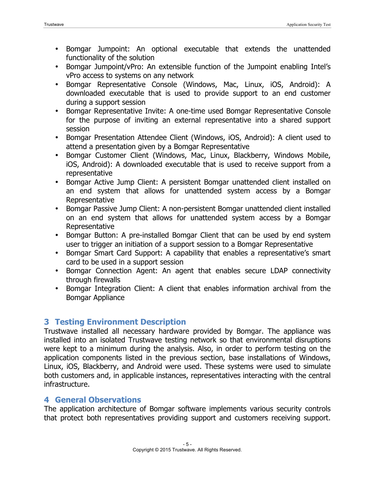- Bomgar Jumpoint: An optional executable that extends the unattended functionality of the solution
- Bomgar Jumpoint/vPro: An extensible function of the Jumpoint enabling Intel's vPro access to systems on any network
- Bomgar Representative Console (Windows, Mac, Linux, iOS, Android): A downloaded executable that is used to provide support to an end customer during a support session
- Bomgar Representative Invite: A one-time used Bomgar Representative Console for the purpose of inviting an external representative into a shared support session
- Bomgar Presentation Attendee Client (Windows, iOS, Android): A client used to attend a presentation given by a Bomgar Representative
- Bomgar Customer Client (Windows, Mac, Linux, Blackberry, Windows Mobile, iOS, Android): A downloaded executable that is used to receive support from a representative
- Bomgar Active Jump Client: A persistent Bomgar unattended client installed on an end system that allows for unattended system access by a Bomgar Representative
- Bomgar Passive Jump Client: A non-persistent Bomgar unattended client installed on an end system that allows for unattended system access by a Bomgar Representative
- Bomgar Button: A pre-installed Bomgar Client that can be used by end system user to trigger an initiation of a support session to a Bomgar Representative
- Bomgar Smart Card Support: A capability that enables a representative's smart card to be used in a support session
- Bomgar Connection Agent: An agent that enables secure LDAP connectivity through firewalls
- Bomgar Integration Client: A client that enables information archival from the Bomgar Appliance

# **3 Testing Environment Description**

Trustwave installed all necessary hardware provided by Bomgar. The appliance was installed into an isolated Trustwave testing network so that environmental disruptions were kept to a minimum during the analysis. Also, in order to perform testing on the application components listed in the previous section, base installations of Windows, Linux, iOS, Blackberry, and Android were used. These systems were used to simulate both customers and, in applicable instances, representatives interacting with the central infrastructure.

# **4 General Observations**

The application architecture of Bomgar software implements various security controls that protect both representatives providing support and customers receiving support.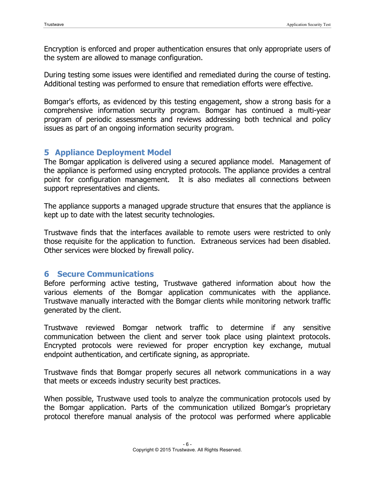Encryption is enforced and proper authentication ensures that only appropriate users of the system are allowed to manage configuration.

During testing some issues were identified and remediated during the course of testing. Additional testing was performed to ensure that remediation efforts were effective.

Bomgar's efforts, as evidenced by this testing engagement, show a strong basis for a comprehensive information security program. Bomgar has continued a multi-year program of periodic assessments and reviews addressing both technical and policy issues as part of an ongoing information security program.

# **5 Appliance Deployment Model**

The Bomgar application is delivered using a secured appliance model. Management of the appliance is performed using encrypted protocols. The appliance provides a central point for configuration management. It is also mediates all connections between support representatives and clients.

The appliance supports a managed upgrade structure that ensures that the appliance is kept up to date with the latest security technologies.

Trustwave finds that the interfaces available to remote users were restricted to only those requisite for the application to function. Extraneous services had been disabled. Other services were blocked by firewall policy.

# **6 Secure Communications**

Before performing active testing, Trustwave gathered information about how the various elements of the Bomgar application communicates with the appliance. Trustwave manually interacted with the Bomgar clients while monitoring network traffic generated by the client.

Trustwave reviewed Bomgar network traffic to determine if any sensitive communication between the client and server took place using plaintext protocols. Encrypted protocols were reviewed for proper encryption key exchange, mutual endpoint authentication, and certificate signing, as appropriate.

Trustwave finds that Bomgar properly secures all network communications in a way that meets or exceeds industry security best practices.

When possible, Trustwave used tools to analyze the communication protocols used by the Bomgar application. Parts of the communication utilized Bomgar's proprietary protocol therefore manual analysis of the protocol was performed where applicable